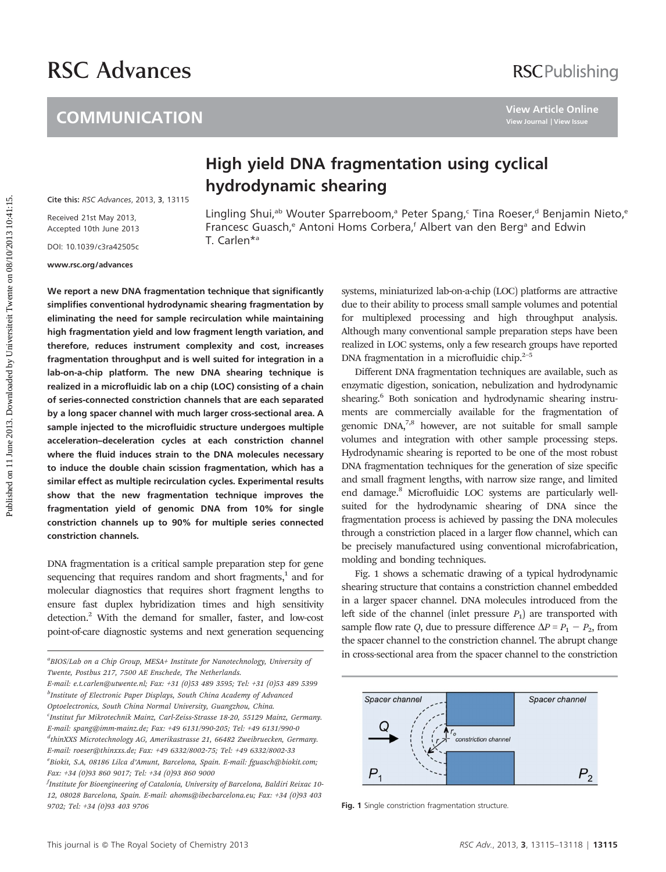# RSC Advances

### **COMMUNICATION**

## High yield DNA fragmentation using cyclical hydrodynamic shearing

Cite this: [RSC Advances](http://dx.doi.org/10.1039/c3ra42505c), 2013, 3, 13115

Received 21st May 2013, Accepted 10th June 2013

DOI: 10.1039/c3ra42505c

www.rsc.org/advances

Lingling Shui,<sup>ab</sup> Wouter Sparreboom,<sup>a</sup> Peter Spang,<sup>c</sup> Tina Roeser,<sup>d</sup> Benjamin Nieto,<sup>e</sup> Francesc Guasch,<sup>e</sup> Antoni Homs Corbera,<sup>f</sup> Albert van den Berg<sup>a</sup> and Edwin T. Carlen\*a

We report a new DNA fragmentation technique that significantly simplifies conventional hydrodynamic shearing fragmentation by eliminating the need for sample recirculation while maintaining high fragmentation yield and low fragment length variation, and therefore, reduces instrument complexity and cost, increases fragmentation throughput and is well suited for integration in a lab-on-a-chip platform. The new DNA shearing technique is realized in a microfluidic lab on a chip (LOC) consisting of a chain of series-connected constriction channels that are each separated by a long spacer channel with much larger cross-sectional area. A sample injected to the microfluidic structure undergoes multiple acceleration–deceleration cycles at each constriction channel where the fluid induces strain to the DNA molecules necessary to induce the double chain scission fragmentation, which has a similar effect as multiple recirculation cycles. Experimental results show that the new fragmentation technique improves the fragmentation yield of genomic DNA from 10% for single constriction channels up to 90% for multiple series connected constriction channels. COMMUNICATION<br> **Publish yield DNA fragmentation using cyclical**<br>
the nis excavations, 2013. 3.13115<br>
Record 10th June 2013<br>
Erancesc Guasch,<sup>2</sup> Autori Homs Corbera,<sup>1</sup> Reter Spang-Tina Roeser,<sup>4</sup> Benjamin h<br>
Record 10th Ju

DNA fragmentation is a critical sample preparation step for gene sequencing that requires random and short fragments,<sup>1</sup> and for molecular diagnostics that requires short fragment lengths to ensure fast duplex hybridization times and high sensitivity detection.<sup>2</sup> With the demand for smaller, faster, and low-cost point-of-care diagnostic systems and next generation sequencing

E-mail: e.t.carlen@utwente.nl; Fax: +31 (0)53 489 3595; Tel: +31 (0)53 489 5399 <sup>b</sup>Institute of Electronic Paper Displays, South China Academy of Advanced Optoelectronics, South China Normal University, Guangzhou, China. c Institut fur Mikrotechnik Mainz, Carl-Zeiss-Strasse 18-20, 55129 Mainz, Germany. E-mail: spang@imm-mainz.de; Fax: +49 6131/990-205; Tel: +49 6131/990-0

d thinXXS Microtechnology AG, Amerikastrasse 21, 66482 Zweibruecken, Germany. E-mail: roeser@thinxxs.de; Fax: +49 6332/8002-75; Tel: +49 6332/8002-33 e<br>Biokit, S.A, 08186 Lilca d'Amunt, Barcelona, Spain. E-mail: fguasch@biokit.com; Fax: +34 (0)93 860 9017; Tel: +34 (0)93 860 9000

 $^f$ Institute for Bioengineering of Catalonia, University of Barcelona, Baldiri Reixac 10-12, 08028 Barcelona, Spain. E-mail: ahoms@ibecbarcelona.eu; Fax: +34 (0)93 403 9702; Tel: +34 (0)93 403 9706 Fig. 1 Single constriction fragmentation structure.

systems, miniaturized lab-on-a-chip (LOC) platforms are attractive due to their ability to process small sample volumes and potential for multiplexed processing and high throughput analysis. Although many conventional sample preparation steps have been realized in LOC systems, only a few research groups have reported DNA fragmentation in a microfluidic chip.<sup>2-5</sup>

Different DNA fragmentation techniques are available, such as enzymatic digestion, sonication, nebulization and hydrodynamic shearing.<sup>6</sup> Both sonication and hydrodynamic shearing instruments are commercially available for the fragmentation of genomic  $DNA<sub>7</sub><sup>7,8</sup>$  however, are not suitable for small sample volumes and integration with other sample processing steps. Hydrodynamic shearing is reported to be one of the most robust DNA fragmentation techniques for the generation of size specific and small fragment lengths, with narrow size range, and limited end damage.8 Microfluidic LOC systems are particularly wellsuited for the hydrodynamic shearing of DNA since the fragmentation process is achieved by passing the DNA molecules through a constriction placed in a larger flow channel, which can be precisely manufactured using conventional microfabrication, molding and bonding techniques.

Fig. 1 shows a schematic drawing of a typical hydrodynamic shearing structure that contains a constriction channel embedded in a larger spacer channel. DNA molecules introduced from the left side of the channel (inlet pressure  $P_1$ ) are transported with sample flow rate Q, due to pressure difference  $\Delta P = P_1 - P_2$ , from the spacer channel to the constriction channel. The abrupt change in cross-sectional area from the spacer channel to the constriction <sup>a</sup>



BIOS/Lab on a Chip Group, MESA+ Institute for Nanotechnology, University of Twente, Postbus 217, 7500 AE Enschede, The Netherlands.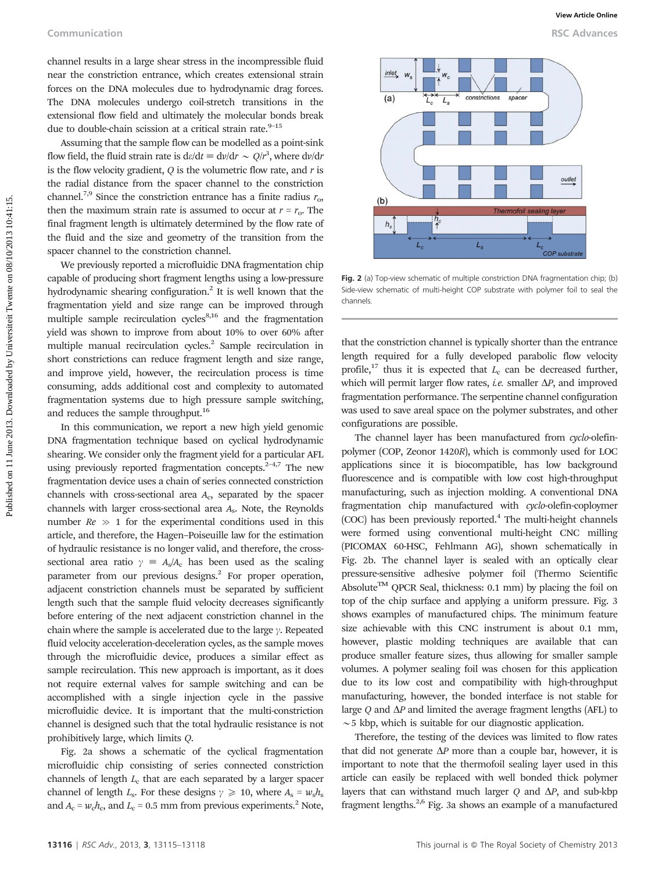channel results in a large shear stress in the incompressible fluid near the constriction entrance, which creates extensional strain forces on the DNA molecules due to hydrodynamic drag forces. The DNA molecules undergo coil-stretch transitions in the extensional flow field and ultimately the molecular bonds break due to double-chain scission at a critical strain rate. $9-15$ 

Assuming that the sample flow can be modelled as a point-sink flow field, the fluid strain rate is  $d\varepsilon/dt \equiv d\nu/dr \sim Q/r^3$ , where  $d\nu/dr$ is the flow velocity gradient,  $Q$  is the volumetric flow rate, and  $r$  is the radial distance from the spacer channel to the constriction channel.<sup>7,9</sup> Since the constriction entrance has a finite radius  $r_{0}$ , then the maximum strain rate is assumed to occur at  $r = r_0$ . The final fragment length is ultimately determined by the flow rate of the fluid and the size and geometry of the transition from the spacer channel to the constriction channel.

We previously reported a microfluidic DNA fragmentation chip capable of producing short fragment lengths using a low-pressure hydrodynamic shearing configuration.<sup>2</sup> It is well known that the fragmentation yield and size range can be improved through multiple sample recirculation cycles $8,16$  and the fragmentation yield was shown to improve from about 10% to over 60% after multiple manual recirculation cycles.<sup>2</sup> Sample recirculation in short constrictions can reduce fragment length and size range, and improve yield, however, the recirculation process is time consuming, adds additional cost and complexity to automated fragmentation systems due to high pressure sample switching, and reduces the sample throughput.<sup>16</sup>

In this communication, we report a new high yield genomic DNA fragmentation technique based on cyclical hydrodynamic shearing. We consider only the fragment yield for a particular AFL using previously reported fragmentation concepts. $2-4,7$  The new fragmentation device uses a chain of series connected constriction channels with cross-sectional area Ac, separated by the spacer channels with larger cross-sectional area As. Note, the Reynolds number  $Re \gg 1$  for the experimental conditions used in this article, and therefore, the Hagen–Poiseuille law for the estimation of hydraulic resistance is no longer valid, and therefore, the crosssectional area ratio  $\gamma = A_s/A_c$  has been used as the scaling parameter from our previous designs.<sup>2</sup> For proper operation, adjacent constriction channels must be separated by sufficient length such that the sample fluid velocity decreases significantly before entering of the next adjacent constriction channel in the chain where the sample is accelerated due to the large  $\gamma$ . Repeated fluid velocity acceleration-deceleration cycles, as the sample moves through the microfluidic device, produces a similar effect as sample recirculation. This new approach is important, as it does not require external valves for sample switching and can be accomplished with a single injection cycle in the passive microfluidic device. It is important that the multi-constriction channel is designed such that the total hydraulic resistance is not prohibitively large, which limits Q.

Fig. 2a shows a schematic of the cyclical fragmentation microfluidic chip consisting of series connected constriction channels of length  $L<sub>c</sub>$  that are each separated by a larger spacer channel of length  $L_s$ . For these designs  $\gamma \ge 10$ , where  $A_s = w_s h_s$ and  $A_c = w_c h_c$ , and  $L_c = 0.5$  mm from previous experiments.<sup>2</sup> Note,



Fig. 2 (a) Top-view schematic of multiple constriction DNA fragmentation chip; (b) Side-view schematic of multi-height COP substrate with polymer foil to seal the channels.

that the constriction channel is typically shorter than the entrance length required for a fully developed parabolic flow velocity profile,<sup>17</sup> thus it is expected that  $L_c$  can be decreased further, which will permit larger flow rates, *i.e.* smaller  $\Delta P$ , and improved fragmentation performance. The serpentine channel configuration was used to save areal space on the polymer substrates, and other configurations are possible.

The channel layer has been manufactured from cyclo-olefinpolymer (COP, Zeonor 1420R), which is commonly used for LOC applications since it is biocompatible, has low background fluorescence and is compatible with low cost high-throughput manufacturing, such as injection molding. A conventional DNA fragmentation chip manufactured with cyclo-olefin-coploymer (COC) has been previously reported.<sup>4</sup> The multi-height channels were formed using conventional multi-height CNC milling (PICOMAX 60-HSC, Fehlmann AG), shown schematically in Fig. 2b. The channel layer is sealed with an optically clear pressure-sensitive adhesive polymer foil (Thermo Scientific Absolute<sup>TM</sup> QPCR Seal, thickness: 0.1 mm) by placing the foil on top of the chip surface and applying a uniform pressure. Fig. 3 shows examples of manufactured chips. The minimum feature size achievable with this CNC instrument is about 0.1 mm, however, plastic molding techniques are available that can produce smaller feature sizes, thus allowing for smaller sample volumes. A polymer sealing foil was chosen for this application due to its low cost and compatibility with high-throughput manufacturing, however, the bonded interface is not stable for large Q and  $\Delta P$  and limited the average fragment lengths (AFL) to  $\sim$  5 kbp, which is suitable for our diagnostic application.

Therefore, the testing of the devices was limited to flow rates that did not generate  $\Delta P$  more than a couple bar, however, it is important to note that the thermofoil sealing layer used in this article can easily be replaced with well bonded thick polymer layers that can withstand much larger  $Q$  and  $\Delta P$ , and sub-kbp fragment lengths.2,6 Fig. 3a shows an example of a manufactured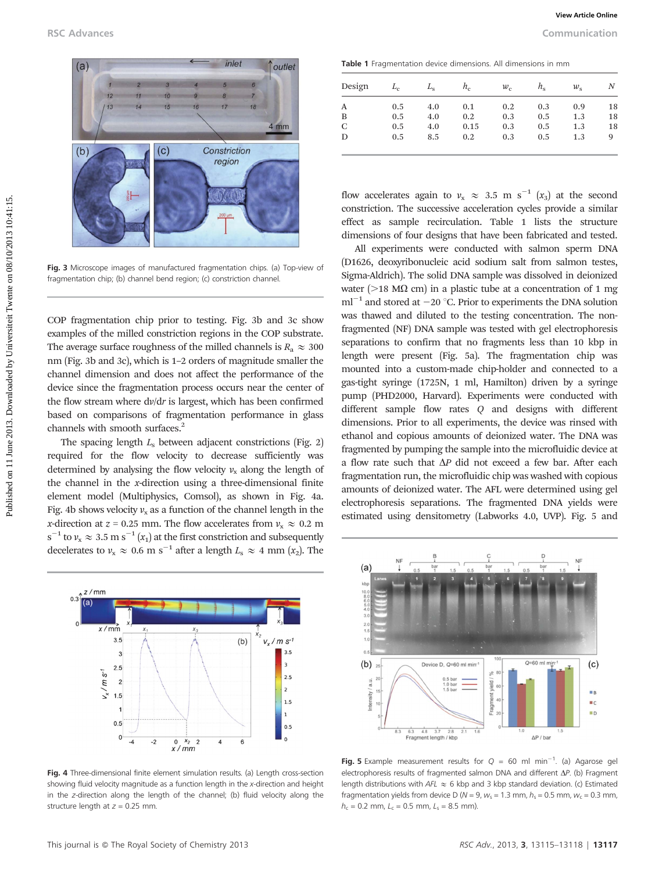

Fig. 3 Microscope images of manufactured fragmentation chips. (a) Top-view of fragmentation chip; (b) channel bend region; (c) constriction channel.

COP fragmentation chip prior to testing. Fig. 3b and 3c show examples of the milled constriction regions in the COP substrate. The average surface roughness of the milled channels is  $R_a \approx 300$ nm (Fig. 3b and 3c), which is 1–2 orders of magnitude smaller the channel dimension and does not affect the performance of the device since the fragmentation process occurs near the center of the flow stream where dv/dr is largest, which has been confirmed based on comparisons of fragmentation performance in glass channels with smooth surfaces.<sup>2</sup>

The spacing length  $L<sub>s</sub>$  between adjacent constrictions (Fig. 2) required for the flow velocity to decrease sufficiently was determined by analysing the flow velocity  $v_x$  along the length of the channel in the  $x$ -direction using a three-dimensional finite element model (Multiphysics, Comsol), as shown in Fig. 4a. Fig. 4b shows velocity  $v_x$  as a function of the channel length in the *x*-direction at  $z = 0.25$  mm. The flow accelerates from  $v_x \approx 0.2$  m  $\rm s^{-1}$  to  $v_x \approx 3.5$  m  $\rm s^{-1}$   $(x_1)$  at the first constriction and subsequently decelerates to  $v_x \approx 0.6$  m s<sup>-1</sup> after a length  $L_s \approx 4$  mm (x<sub>2</sub>). The



Fig. 4 Three-dimensional finite element simulation results. (a) Length cross-section showing fluid velocity magnitude as a function length in the x-direction and height in the z-direction along the length of the channel; (b) fluid velocity along the structure length at  $z = 0.25$  mm.

Table 1 Fragmentation device dimensions. All dimensions in mm

| Design | $L_c$ | $L_{\rm s}$ | $h_c$ | $w_{c}$ | $h_{\rm c}$ | $w_{\rm c}$ | N  |
|--------|-------|-------------|-------|---------|-------------|-------------|----|
| A      | 0.5   | 4.0         | 0.1   | 0.2     | 0.3         | 0.9         | 18 |
| B      | 0.5   | 4.0         | 0.2   | 0.3     | 0.5         | 1.3         | 18 |
| C      | 0.5   | 4.0         | 0.15  | 0.3     | 0.5         | 1.3         | 18 |
| D      | 0.5   | 8.5         | 0.2   | 0.3     | 0.5         | 1.3         | 9  |

flow accelerates again to  $v_x \approx 3.5$  m s<sup>-1</sup> (x<sub>3</sub>) at the second constriction. The successive acceleration cycles provide a similar effect as sample recirculation. Table 1 lists the structure dimensions of four designs that have been fabricated and tested.

All experiments were conducted with salmon sperm DNA (D1626, deoxyribonucleic acid sodium salt from salmon testes, Sigma-Aldrich). The solid DNA sample was dissolved in deionized water ( $>$ 18 M $\Omega$  cm) in a plastic tube at a concentration of 1 mg  $ml^{-1}$  and stored at  $-20$  °C. Prior to experiments the DNA solution was thawed and diluted to the testing concentration. The nonfragmented (NF) DNA sample was tested with gel electrophoresis separations to confirm that no fragments less than 10 kbp in length were present (Fig. 5a). The fragmentation chip was mounted into a custom-made chip-holder and connected to a gas-tight syringe (1725N, 1 ml, Hamilton) driven by a syringe pump (PHD2000, Harvard). Experiments were conducted with different sample flow rates Q and designs with different dimensions. Prior to all experiments, the device was rinsed with ethanol and copious amounts of deionized water. The DNA was fragmented by pumping the sample into the microfluidic device at a flow rate such that  $\Delta P$  did not exceed a few bar. After each fragmentation run, the microfluidic chip was washed with copious amounts of deionized water. The AFL were determined using gel electrophoresis separations. The fragmented DNA yields were estimated using densitometry (Labworks 4.0, UVP). Fig. 5 and PUBL 1988 Column cases of the state of the state of the state of the state of the state of the state of the state of the state of the state of the state of the state of the state of the state of the state of the state of



Fig. 5 Example measurement results for  $Q = 60$  ml min<sup>-1</sup>. (a) Agarose gel electrophoresis results of fragmented salmon DNA and different  $\Delta P$ . (b) Fragment length distributions with  $AFL \approx 6$  kbp and 3 kbp standard deviation. (c) Estimated fragmentation yields from device D ( $N = 9$ ,  $w_s = 1.3$  mm,  $h_s = 0.5$  mm,  $w_c = 0.3$  mm,  $h_c = 0.2$  mm,  $L_c = 0.5$  mm,  $L_s = 8.5$  mm).